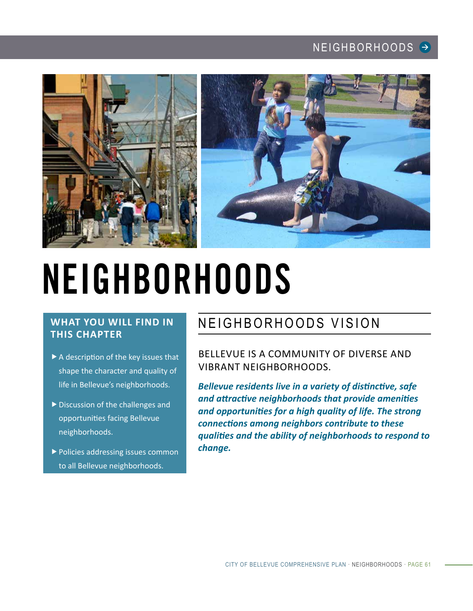

# NEIGHBORHOODS

## **WHAT YOU WILL FIND IN THIS CHAPTER**

- $\blacktriangleright$  A description of the key issues that shape the character and quality of life in Bellevue's neighborhoods.
- $\blacktriangleright$  Discussion of the challenges and opportunities facing Bellevue neighborhoods.
- $\blacktriangleright$  Policies addressing issues common to all Bellevue neighborhoods.

# NEIGHBORHOODS VISION

BELLEVUE IS A COMMUNITY OF DIVERSE AND VIBRANT NEIGHBORHOODS.

*Bellevue residents live in a variety of distinctive, safe and attractive neighborhoods that provide amenities and opportunities for a high quality of life. The strong connections among neighbors contribute to these qualities and the ability of neighborhoods to respond to change.*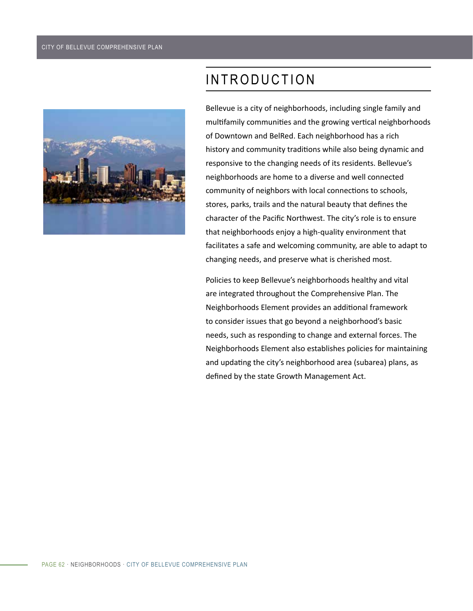

# INTRODUCTION

Bellevue is a city of neighborhoods, including single family and multifamily communities and the growing vertical neighborhoods of Downtown and BelRed. Each neighborhood has a rich history and community traditions while also being dynamic and responsive to the changing needs of its residents. Bellevue's neighborhoods are home to a diverse and well connected community of neighbors with local connections to schools, stores, parks, trails and the natural beauty that defines the character of the Pacific Northwest. The city's role is to ensure that neighborhoods enjoy a high-quality environment that facilitates a safe and welcoming community, are able to adapt to changing needs, and preserve what is cherished most.

Policies to keep Bellevue's neighborhoods healthy and vital are integrated throughout the Comprehensive Plan. The Neighborhoods Element provides an additional framework to consider issues that go beyond a neighborhood's basic needs, such as responding to change and external forces. The Neighborhoods Element also establishes policies for maintaining and updating the city's neighborhood area (subarea) plans, as defined by the state Growth Management Act.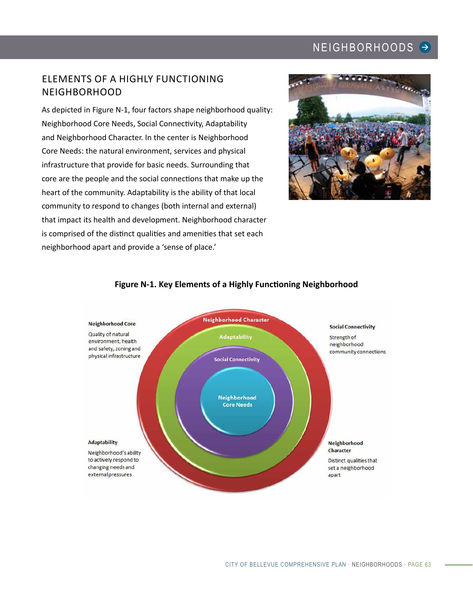## ELEMENTS OF A HIGHLY FUNCTIONING NEIGHBORHOOD

As depicted in Figure N-1, four factors shape neighborhood quality: Neighborhood Core Needs, Social Connectivity, Adaptability and Neighborhood Character. In the center is Neighborhood Core Needs: the natural environment, services and physical infrastructure that provide for basic needs. Surrounding that core are the people and the social connections that make up the heart of the community. Adaptability is the ability of that local community to respond to changes (both internal and external) that impact its health and development. Neighborhood character is comprised of the distinct qualities and amenities that set each neighborhood apart and provide a 'sense of place.'



#### **Neighborhood Character Neighborhood Core Social Connectivity** Quality of natural **Adaptability** Strength of environment, health neighborhood and safety, zoning and community connections physical infrastructure **Social Connectivity** Neighborhood **Core Needs Adaptability** Neighborhood Character Neighborhood's ability to actively respond to Distinct qualities that changing needs and set a neighborhood external pressures apart

#### **Figure N-1. Key Elements of a Highly Functioning Neighborhood**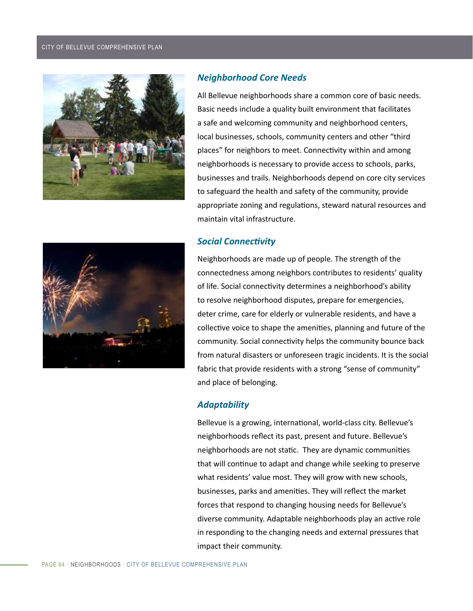#### CITY OF BELLEVUE COMPREHENSIVE PLAN



#### *Neighborhood Core Needs*

All Bellevue neighborhoods share a common core of basic needs. Basic needs include a quality built environment that facilitates a safe and welcoming community and neighborhood centers, local businesses, schools, community centers and other "third places" for neighbors to meet. Connectivity within and among neighborhoods is necessary to provide access to schools, parks, businesses and trails. Neighborhoods depend on core city services to safeguard the health and safety of the community, provide appropriate zoning and regulations, steward natural resources and maintain vital infrastructure.

#### *Social Connectivity*



Neighborhoods are made up of people. The strength of the connectedness among neighbors contributes to residents' quality of life. Social connectivity determines a neighborhood's ability to resolve neighborhood disputes, prepare for emergencies, deter crime, care for elderly or vulnerable residents, and have a collective voice to shape the amenities, planning and future of the community. Social connectivity helps the community bounce back from natural disasters or unforeseen tragic incidents. It is the social fabric that provide residents with a strong "sense of community" and place of belonging.

#### *Adaptability*

Bellevue is a growing, international, world-class city. Bellevue's neighborhoods reflect its past, present and future. Bellevue's neighborhoods are not static. They are dynamic communities that will continue to adapt and change while seeking to preserve what residents' value most. They will grow with new schools, businesses, parks and amenities. They will reflect the market forces that respond to changing housing needs for Bellevue's diverse community. Adaptable neighborhoods play an active role in responding to the changing needs and external pressures that impact their community.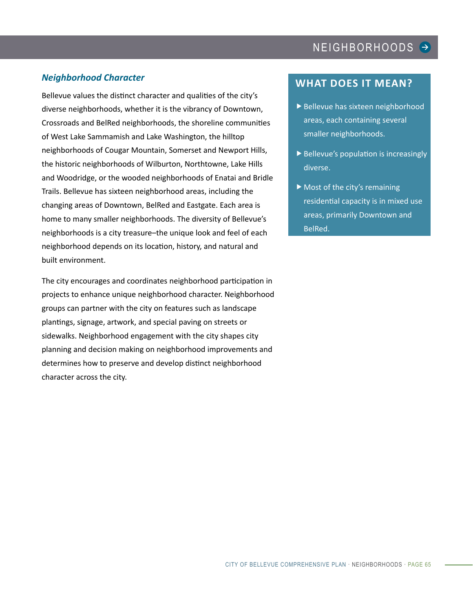#### *Neighborhood Character*

Bellevue values the distinct character and qualities of the city's diverse neighborhoods, whether it is the vibrancy of Downtown, Crossroads and BelRed neighborhoods, the shoreline communities of West Lake Sammamish and Lake Washington, the hilltop neighborhoods of Cougar Mountain, Somerset and Newport Hills, the historic neighborhoods of Wilburton, Northtowne, Lake Hills and Woodridge, or the wooded neighborhoods of Enatai and Bridle Trails. Bellevue has sixteen neighborhood areas, including the changing areas of Downtown, BelRed and Eastgate. Each area is home to many smaller neighborhoods. The diversity of Bellevue's neighborhoods is a city treasure–the unique look and feel of each neighborhood depends on its location, history, and natural and built environment.

The city encourages and coordinates neighborhood participation in projects to enhance unique neighborhood character. Neighborhood groups can partner with the city on features such as landscape plantings, signage, artwork, and special paving on streets or sidewalks. Neighborhood engagement with the city shapes city planning and decision making on neighborhood improvements and determines how to preserve and develop distinct neighborhood character across the city.

#### **WHAT DOES IT MEAN?**

- $\blacktriangleright$  Bellevue has sixteen neighborhood areas, each containing several smaller neighborhoods.
- $\blacktriangleright$  Bellevue's population is increasingly diverse.
- $\blacktriangleright$  Most of the city's remaining residential capacity is in mixed use areas, primarily Downtown and BelRed.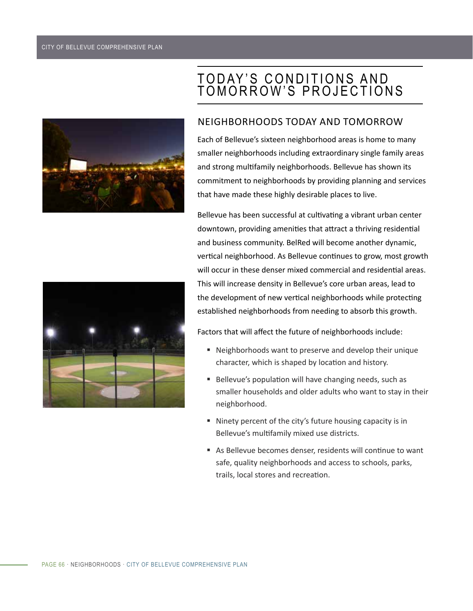

# T O D AY ' S C O N D I T I O N S A N D TOMORROW'S PROJECTIONS

#### NEIGHBORHOODS TODAY AND TOMORROW

Each of Bellevue's sixteen neighborhood areas is home to many smaller neighborhoods including extraordinary single family areas and strong multifamily neighborhoods. Bellevue has shown its commitment to neighborhoods by providing planning and services that have made these highly desirable places to live.

Bellevue has been successful at cultivating a vibrant urban center downtown, providing amenities that attract a thriving residential and business community. BelRed will become another dynamic, vertical neighborhood. As Bellevue continues to grow, most growth will occur in these denser mixed commercial and residential areas. This will increase density in Bellevue's core urban areas, lead to the development of new vertical neighborhoods while protecting established neighborhoods from needing to absorb this growth.

Factors that will affect the future of neighborhoods include:

- Neighborhoods want to preserve and develop their unique character, which is shaped by location and history.
- Bellevue's population will have changing needs, such as smaller households and older adults who want to stay in their neighborhood.
- Ninety percent of the city's future housing capacity is in Bellevue's multifamily mixed use districts.
- As Bellevue becomes denser, residents will continue to want safe, quality neighborhoods and access to schools, parks, trails, local stores and recreation.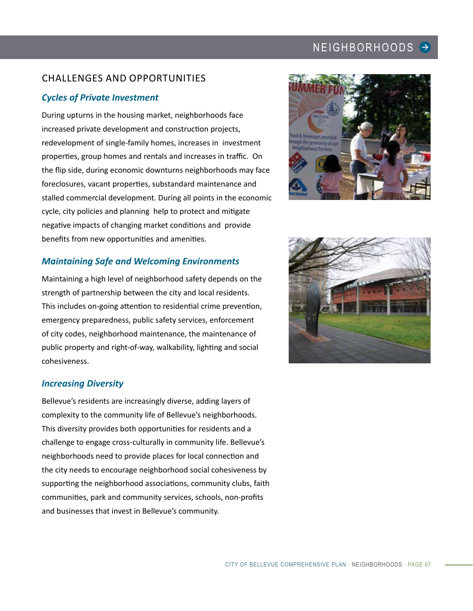## CHALLENGES AND OPPORTUNITIES

#### *Cycles of Private Investment*

During upturns in the housing market, neighborhoods face increased private development and construction projects, redevelopment of single-family homes, increases in investment properties, group homes and rentals and increases in traffic. On the flip side, during economic downturns neighborhoods may face foreclosures, vacant properties, substandard maintenance and stalled commercial development. During all points in the economic cycle, city policies and planning help to protect and mitigate negative impacts of changing market conditions and provide benefits from new opportunities and amenities.

#### *Maintaining Safe and Welcoming Environments*

Maintaining a high level of neighborhood safety depends on the strength of partnership between the city and local residents. This includes on-going attention to residential crime prevention, emergency preparedness, public safety services, enforcement of city codes, neighborhood maintenance, the maintenance of public property and right-of-way, walkability, lighting and social cohesiveness.

#### *Increasing Diversity*

Bellevue's residents are increasingly diverse, adding layers of complexity to the community life of Bellevue's neighborhoods. This diversity provides both opportunities for residents and a challenge to engage cross-culturally in community life. Bellevue's neighborhoods need to provide places for local connection and the city needs to encourage neighborhood social cohesiveness by supporting the neighborhood associations, community clubs, faith communities, park and community services, schools, non-profits and businesses that invest in Bellevue's community.



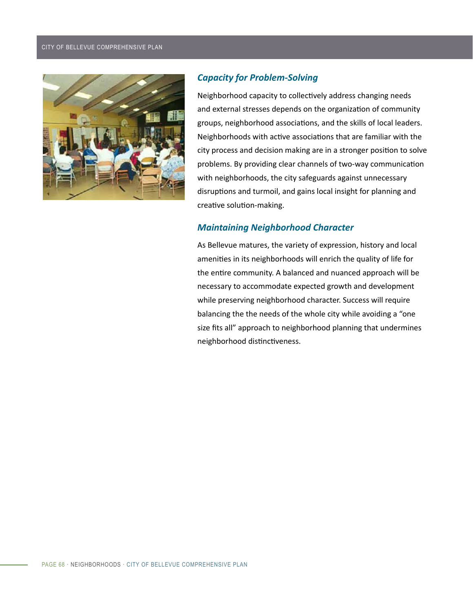

#### *Capacity for Problem-Solving*

Neighborhood capacity to collectively address changing needs and external stresses depends on the organization of community groups, neighborhood associations, and the skills of local leaders. Neighborhoods with active associations that are familiar with the city process and decision making are in a stronger position to solve problems. By providing clear channels of two-way communication with neighborhoods, the city safeguards against unnecessary disruptions and turmoil, and gains local insight for planning and creative solution-making.

#### *Maintaining Neighborhood Character*

As Bellevue matures, the variety of expression, history and local amenities in its neighborhoods will enrich the quality of life for the entire community. A balanced and nuanced approach will be necessary to accommodate expected growth and development while preserving neighborhood character. Success will require balancing the the needs of the whole city while avoiding a "one size fits all" approach to neighborhood planning that undermines neighborhood distinctiveness.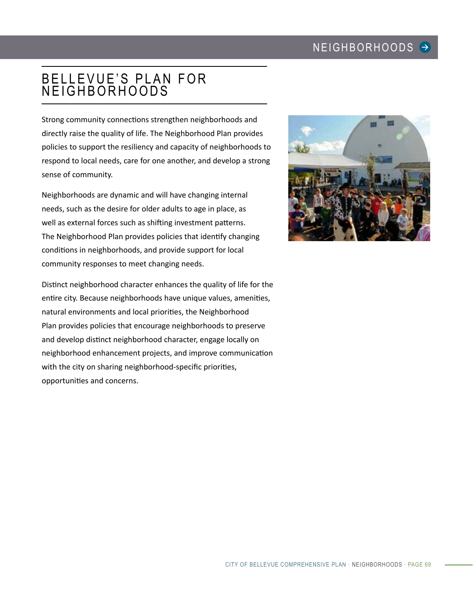# BELLEVUE'S PLAN FOR NEIGHBORHOODS

Strong community connections strengthen neighborhoods and directly raise the quality of life. The Neighborhood Plan provides policies to support the resiliency and capacity of neighborhoods to respond to local needs, care for one another, and develop a strong sense of community.

Neighborhoods are dynamic and will have changing internal needs, such as the desire for older adults to age in place, as well as external forces such as shifting investment patterns. The Neighborhood Plan provides policies that identify changing conditions in neighborhoods, and provide support for local community responses to meet changing needs.

Distinct neighborhood character enhances the quality of life for the entire city. Because neighborhoods have unique values, amenities, natural environments and local priorities, the Neighborhood Plan provides policies that encourage neighborhoods to preserve and develop distinct neighborhood character, engage locally on neighborhood enhancement projects, and improve communication with the city on sharing neighborhood-specific priorities, opportunities and concerns.

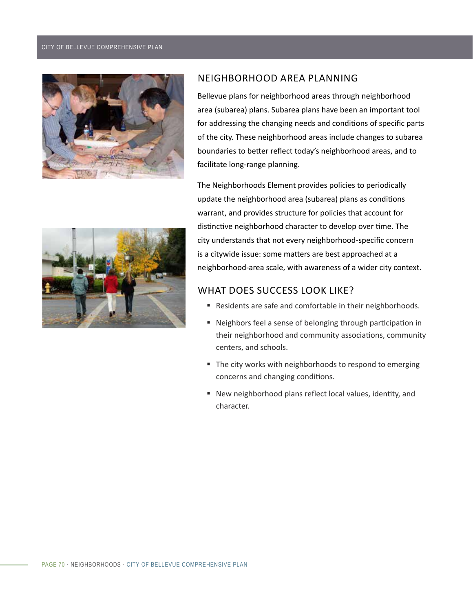#### CITY OF BELLEVUE COMPREHENSIVE PLAN





Bellevue plans for neighborhood areas through neighborhood area (subarea) plans. Subarea plans have been an important tool for addressing the changing needs and conditions of specific parts of the city. These neighborhood areas include changes to subarea boundaries to better reflect today's neighborhood areas, and to facilitate long-range planning.

The Neighborhoods Element provides policies to periodically update the neighborhood area (subarea) plans as conditions warrant, and provides structure for policies that account for distinctive neighborhood character to develop over time. The city understands that not every neighborhood-specific concern is a citywide issue: some matters are best approached at a neighborhood-area scale, with awareness of a wider city context.

## WHAT DOES SUCCESS LOOK LIKE?

- Residents are safe and comfortable in their neighborhoods.
- Neighbors feel a sense of belonging through participation in their neighborhood and community associations, community centers, and schools.
- The city works with neighborhoods to respond to emerging concerns and changing conditions.
- New neighborhood plans reflect local values, identity, and character.

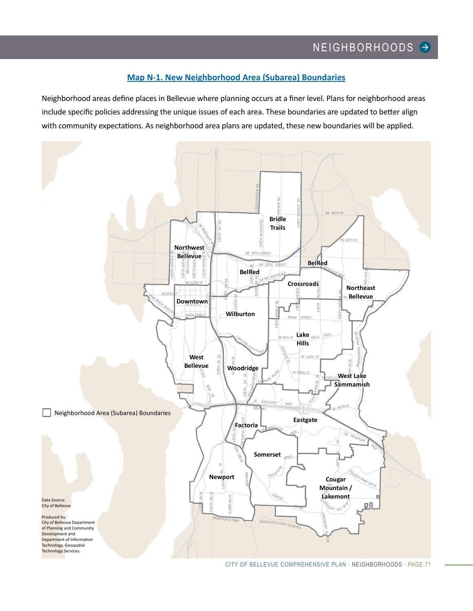#### **[Map N-1. New Neighborhood Area \(Subarea\) Boundaries](#page-10-0)**

<span id="page-10-0"></span>Neighborhood areas define places in Bellevue where planning occurs at a finer level. Plans for neighborhood areas include specific policies addressing the unique issues of each area. These boundaries are updated to better align with community expectations. As neighborhood area plans are updated, these new boundaries will be applied.

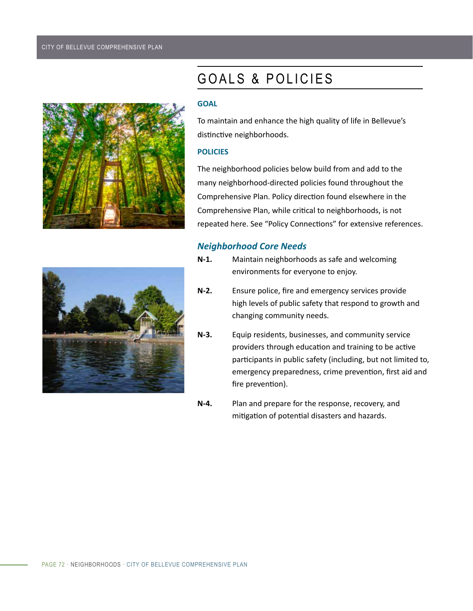

# GOALS & POLICIES

#### **GOAL**

To maintain and enhance the high quality of life in Bellevue's distinctive neighborhoods.

#### **POLICIES**

The neighborhood policies below build from and add to the many neighborhood-directed policies found throughout the Comprehensive Plan. Policy direction found elsewhere in the Comprehensive Plan, while critical to neighborhoods, is not repeated here. See "Policy Connections" for extensive references.

#### *Neighborhood Core Needs*



- **N-1.** Maintain neighborhoods as safe and welcoming environments for everyone to enjoy.
- **N-2.** Ensure police, fire and emergency services provide high levels of public safety that respond to growth and changing community needs.
- **N-3.** Equip residents, businesses, and community service providers through education and training to be active participants in public safety (including, but not limited to, emergency preparedness, crime prevention, first aid and fire prevention).
- **N-4.** Plan and prepare for the response, recovery, and mitigation of potential disasters and hazards.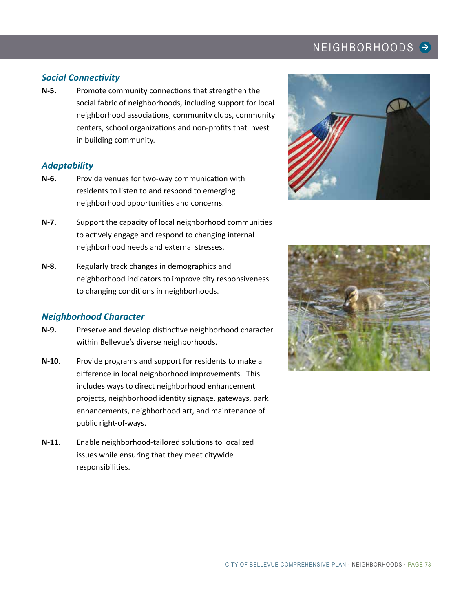#### *Social Connectivity*

**N-5.** Promote community connections that strengthen the social fabric of neighborhoods, including support for local neighborhood associations, community clubs, community centers, school organizations and non-profits that invest in building community.

#### *Adaptability*

- **N-6.** Provide venues for two-way communication with residents to listen to and respond to emerging neighborhood opportunities and concerns.
- **N-7.** Support the capacity of local neighborhood communities to actively engage and respond to changing internal neighborhood needs and external stresses.
- **N-8.** Regularly track changes in demographics and neighborhood indicators to improve city responsiveness to changing conditions in neighborhoods.

#### *Neighborhood Character*

- **N-9.** Preserve and develop distinctive neighborhood character within Bellevue's diverse neighborhoods.
- **N-10.** Provide programs and support for residents to make a difference in local neighborhood improvements. This includes ways to direct neighborhood enhancement projects, neighborhood identity signage, gateways, park enhancements, neighborhood art, and maintenance of public right-of-ways.
- **N-11.** Enable neighborhood-tailored solutions to localized issues while ensuring that they meet citywide responsibilities.



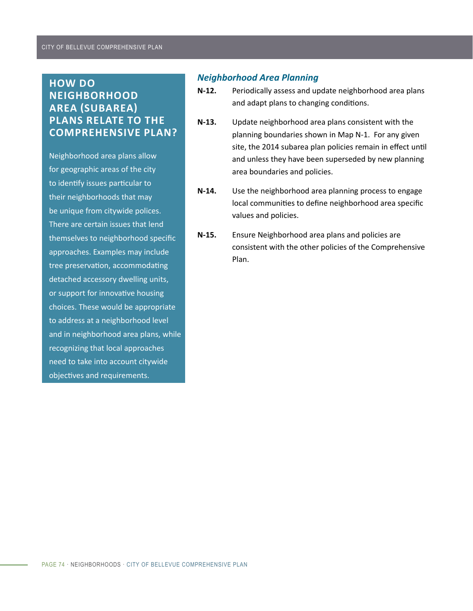## **HOW DO NEIGHBORHOOD AREA (SUBAREA) PLANS RELATE TO THE COMPREHENSIVE PLAN?**

Neighborhood area plans allow for geographic areas of the city to identify issues particular to their neighborhoods that may be unique from citywide polices. There are certain issues that lend themselves to neighborhood specific approaches. Examples may include tree preservation, accommodating detached accessory dwelling units, or support for innovative housing choices. These would be appropriate to address at a neighborhood level and in neighborhood area plans, while recognizing that local approaches need to take into account citywide objectives and requirements.

#### *Neighborhood Area Planning*

- **N-12.** Periodically assess and update neighborhood area plans and adapt plans to changing conditions.
- **N-13.** Update neighborhood area plans consistent with the planning boundaries shown in Map N-1. For any given site, the 2014 subarea plan policies remain in effect until and unless they have been superseded by new planning area boundaries and policies.
- **N-14.** Use the neighborhood area planning process to engage local communities to define neighborhood area specific values and policies.
- **N-15.** Ensure Neighborhood area plans and policies are consistent with the other policies of the Comprehensive Plan.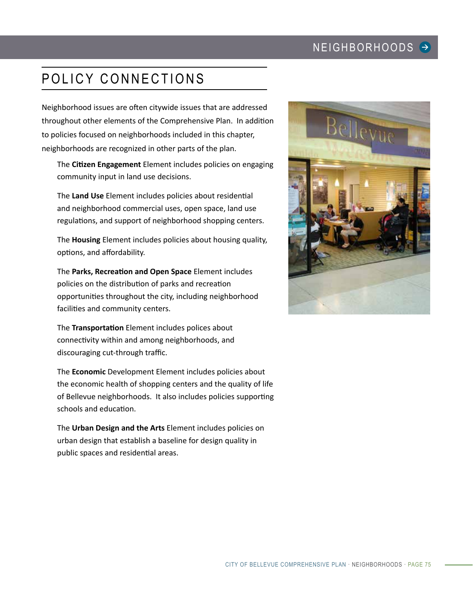# POLICY CONNECTIONS

Neighborhood issues are often citywide issues that are addressed throughout other elements of the Comprehensive Plan. In addition to policies focused on neighborhoods included in this chapter, neighborhoods are recognized in other parts of the plan.

The **Citizen Engagement** Element includes policies on engaging community input in land use decisions.

The **Land Use** Element includes policies about residential and neighborhood commercial uses, open space, land use regulations, and support of neighborhood shopping centers.

The **Housing** Element includes policies about housing quality, options, and affordability.

The **Parks, Recreation and Open Space** Element includes policies on the distribution of parks and recreation opportunities throughout the city, including neighborhood facilities and community centers.

The **Transportation** Element includes polices about connectivity within and among neighborhoods, and discouraging cut-through traffic.

The **Economic** Development Element includes policies about the economic health of shopping centers and the quality of life of Bellevue neighborhoods. It also includes policies supporting schools and education.

The **Urban Design and the Arts** Element includes policies on urban design that establish a baseline for design quality in public spaces and residential areas.